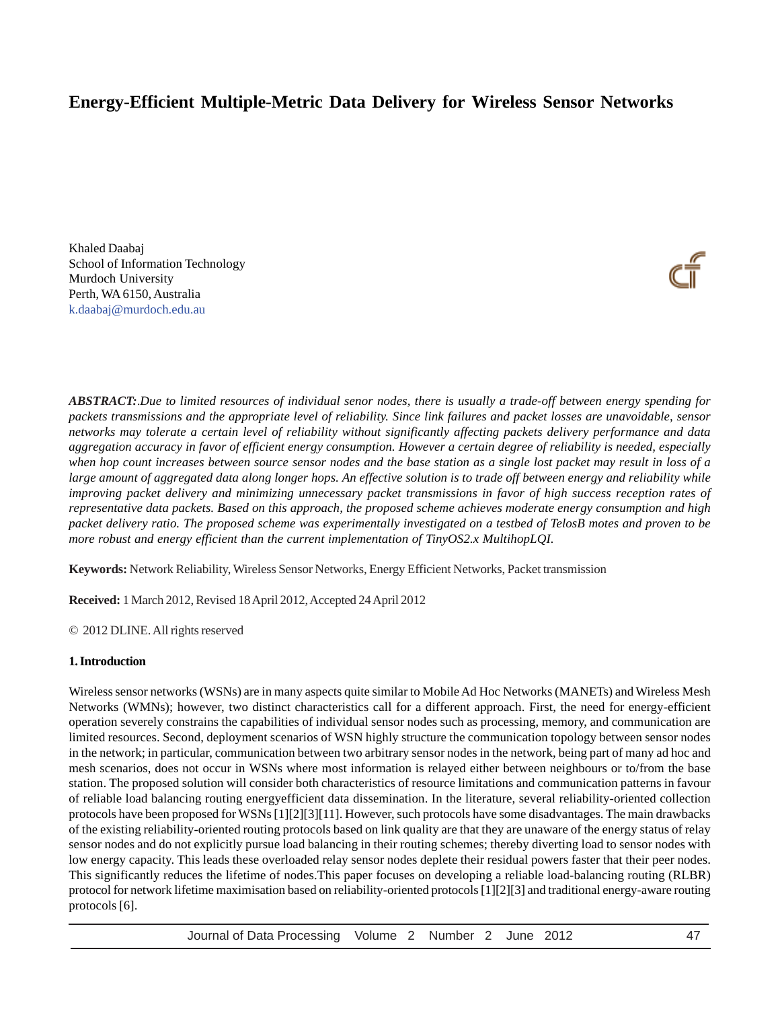# **Energy-Efficient Multiple-Metric Data Delivery for Wireless Sensor Networks**

Khaled Daabaj School of Information Technology Murdoch University Perth, WA 6150, Australia k.daabaj@murdoch.edu.au



*ABSTRACT:*.*Due to limited resources of individual senor nodes, there is usually a trade-off between energy spending for packets transmissions and the appropriate level of reliability. Since link failures and packet losses are unavoidable, sensor networks may tolerate a certain level of reliability without significantly affecting packets delivery performance and data aggregation accuracy in favor of efficient energy consumption. However a certain degree of reliability is needed, especially when hop count increases between source sensor nodes and the base station as a single lost packet may result in loss of a* large amount of aggregated data along longer hops. An effective solution is to trade off between energy and reliability while *improving packet delivery and minimizing unnecessary packet transmissions in favor of high success reception rates of representative data packets. Based on this approach, the proposed scheme achieves moderate energy consumption and high packet delivery ratio. The proposed scheme was experimentally investigated on a testbed of TelosB motes and proven to be more robust and energy efficient than the current implementation of TinyOS2.x MultihopLQI.*

**Keywords:** Network Reliability, Wireless Sensor Networks, Energy Efficient Networks, Packet transmission

**Received:** 1 March 2012, Revised 18 April 2012, Accepted 24 April 2012

© 2012 DLINE. All rights reserved

#### **1. Introduction**

Wireless sensor networks (WSNs) are in many aspects quite similar to Mobile Ad Hoc Networks (MANETs) and Wireless Mesh Networks (WMNs); however, two distinct characteristics call for a different approach. First, the need for energy-efficient operation severely constrains the capabilities of individual sensor nodes such as processing, memory, and communication are limited resources. Second, deployment scenarios of WSN highly structure the communication topology between sensor nodes in the network; in particular, communication between two arbitrary sensor nodes in the network, being part of many ad hoc and mesh scenarios, does not occur in WSNs where most information is relayed either between neighbours or to/from the base station. The proposed solution will consider both characteristics of resource limitations and communication patterns in favour of reliable load balancing routing energyefficient data dissemination. In the literature, several reliability-oriented collection protocols have been proposed for WSNs [1][2][3][11]. However, such protocols have some disadvantages. The main drawbacks of the existing reliability-oriented routing protocols based on link quality are that they are unaware of the energy status of relay sensor nodes and do not explicitly pursue load balancing in their routing schemes; thereby diverting load to sensor nodes with low energy capacity. This leads these overloaded relay sensor nodes deplete their residual powers faster that their peer nodes. This significantly reduces the lifetime of nodes.This paper focuses on developing a reliable load-balancing routing (RLBR) protocol for network lifetime maximisation based on reliability-oriented protocols [1][2][3] and traditional energy-aware routing protocols [6].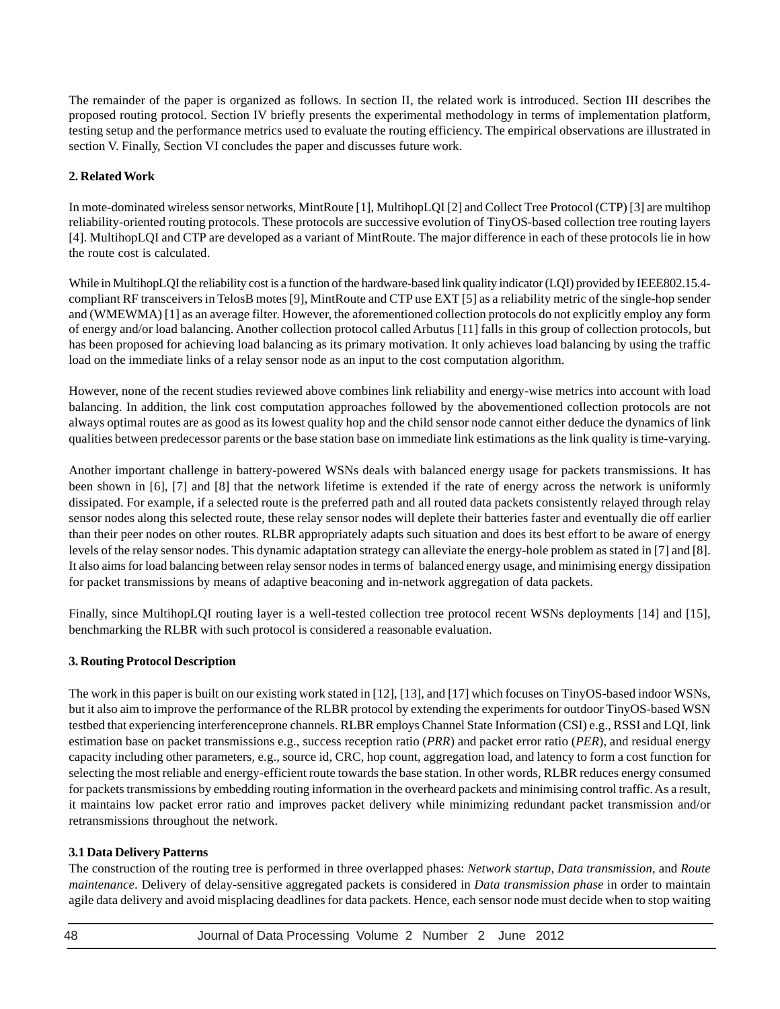The remainder of the paper is organized as follows. In section II, the related work is introduced. Section III describes the proposed routing protocol. Section IV briefly presents the experimental methodology in terms of implementation platform, testing setup and the performance metrics used to evaluate the routing efficiency. The empirical observations are illustrated in section V. Finally, Section VI concludes the paper and discusses future work.

# **2. Related Work**

In mote-dominated wireless sensor networks, MintRoute [1], MultihopLQI [2] and Collect Tree Protocol (CTP) [3] are multihop reliability-oriented routing protocols. These protocols are successive evolution of TinyOS-based collection tree routing layers [4]. MultihopLQI and CTP are developed as a variant of MintRoute. The major difference in each of these protocols lie in how the route cost is calculated.

While in MultihopLQI the reliability cost is a function of the hardware-based link quality indicator (LQI) provided by IEEE802.15.4compliant RF transceivers in TelosB motes [9], MintRoute and CTP use EXT [5] as a reliability metric of the single-hop sender and (WMEWMA) [1] as an average filter. However, the aforementioned collection protocols do not explicitly employ any form of energy and/or load balancing. Another collection protocol called Arbutus [11] falls in this group of collection protocols, but has been proposed for achieving load balancing as its primary motivation. It only achieves load balancing by using the traffic load on the immediate links of a relay sensor node as an input to the cost computation algorithm.

However, none of the recent studies reviewed above combines link reliability and energy-wise metrics into account with load balancing. In addition, the link cost computation approaches followed by the abovementioned collection protocols are not always optimal routes are as good as its lowest quality hop and the child sensor node cannot either deduce the dynamics of link qualities between predecessor parents or the base station base on immediate link estimations as the link quality is time-varying.

Another important challenge in battery-powered WSNs deals with balanced energy usage for packets transmissions. It has been shown in [6], [7] and [8] that the network lifetime is extended if the rate of energy across the network is uniformly dissipated. For example, if a selected route is the preferred path and all routed data packets consistently relayed through relay sensor nodes along this selected route, these relay sensor nodes will deplete their batteries faster and eventually die off earlier than their peer nodes on other routes. RLBR appropriately adapts such situation and does its best effort to be aware of energy levels of the relay sensor nodes. This dynamic adaptation strategy can alleviate the energy-hole problem as stated in [7] and [8]. It also aims for load balancing between relay sensor nodes in terms of balanced energy usage, and minimising energy dissipation for packet transmissions by means of adaptive beaconing and in-network aggregation of data packets.

Finally, since MultihopLQI routing layer is a well-tested collection tree protocol recent WSNs deployments [14] and [15], benchmarking the RLBR with such protocol is considered a reasonable evaluation.

# **3. Routing Protocol Description**

The work in this paper is built on our existing work stated in [12], [13], and [17] which focuses on TinyOS-based indoor WSNs, but it also aim to improve the performance of the RLBR protocol by extending the experiments for outdoor TinyOS-based WSN testbed that experiencing interferenceprone channels. RLBR employs Channel State Information (CSI) e.g., RSSI and LQI, link estimation base on packet transmissions e.g., success reception ratio (*PRR*) and packet error ratio (*PER*), and residual energy capacity including other parameters, e.g., source id, CRC, hop count, aggregation load, and latency to form a cost function for selecting the most reliable and energy-efficient route towards the base station. In other words, RLBR reduces energy consumed for packets transmissions by embedding routing information in the overheard packets and minimising control traffic. As a result, it maintains low packet error ratio and improves packet delivery while minimizing redundant packet transmission and/or retransmissions throughout the network.

# **3.1 Data Delivery Patterns**

The construction of the routing tree is performed in three overlapped phases: *Network startup*, *Data transmission*, and *Route maintenance*. Delivery of delay-sensitive aggregated packets is considered in *Data transmission phase* in order to maintain agile data delivery and avoid misplacing deadlines for data packets. Hence, each sensor node must decide when to stop waiting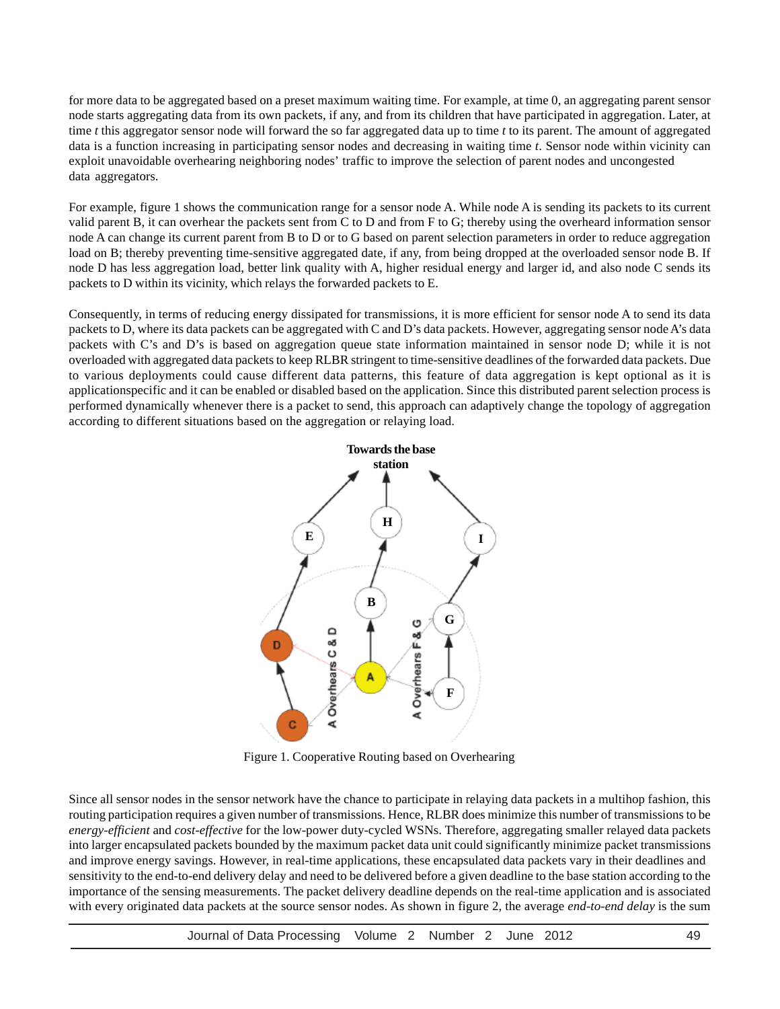for more data to be aggregated based on a preset maximum waiting time. For example, at time 0, an aggregating parent sensor node starts aggregating data from its own packets, if any, and from its children that have participated in aggregation. Later, at time *t* this aggregator sensor node will forward the so far aggregated data up to time *t* to its parent. The amount of aggregated data is a function increasing in participating sensor nodes and decreasing in waiting time *t*. Sensor node within vicinity can exploit unavoidable overhearing neighboring nodes' traffic to improve the selection of parent nodes and uncongested data aggregators.

For example, figure 1 shows the communication range for a sensor node A. While node A is sending its packets to its current valid parent B, it can overhear the packets sent from C to D and from F to G; thereby using the overheard information sensor node A can change its current parent from B to D or to G based on parent selection parameters in order to reduce aggregation load on B; thereby preventing time-sensitive aggregated date, if any, from being dropped at the overloaded sensor node B. If node D has less aggregation load, better link quality with A, higher residual energy and larger id, and also node C sends its packets to D within its vicinity, which relays the forwarded packets to E.

Consequently, in terms of reducing energy dissipated for transmissions, it is more efficient for sensor node A to send its data packets to D, where its data packets can be aggregated with C and D's data packets. However, aggregating sensor node A's data packets with C's and D's is based on aggregation queue state information maintained in sensor node D; while it is not overloaded with aggregated data packets to keep RLBR stringent to time-sensitive deadlines of the forwarded data packets. Due to various deployments could cause different data patterns, this feature of data aggregation is kept optional as it is applicationspecific and it can be enabled or disabled based on the application. Since this distributed parent selection process is performed dynamically whenever there is a packet to send, this approach can adaptively change the topology of aggregation according to different situations based on the aggregation or relaying load.



Figure 1. Cooperative Routing based on Overhearing

Since all sensor nodes in the sensor network have the chance to participate in relaying data packets in a multihop fashion, this routing participation requires a given number of transmissions. Hence, RLBR does minimize this number of transmissions to be *energy-efficient* and *cost-effective* for the low-power duty-cycled WSNs. Therefore, aggregating smaller relayed data packets into larger encapsulated packets bounded by the maximum packet data unit could significantly minimize packet transmissions and improve energy savings. However, in real-time applications, these encapsulated data packets vary in their deadlines and sensitivity to the end-to-end delivery delay and need to be delivered before a given deadline to the base station according to the importance of the sensing measurements. The packet delivery deadline depends on the real-time application and is associated with every originated data packets at the source sensor nodes. As shown in figure 2, the average *end-to-end delay* is the sum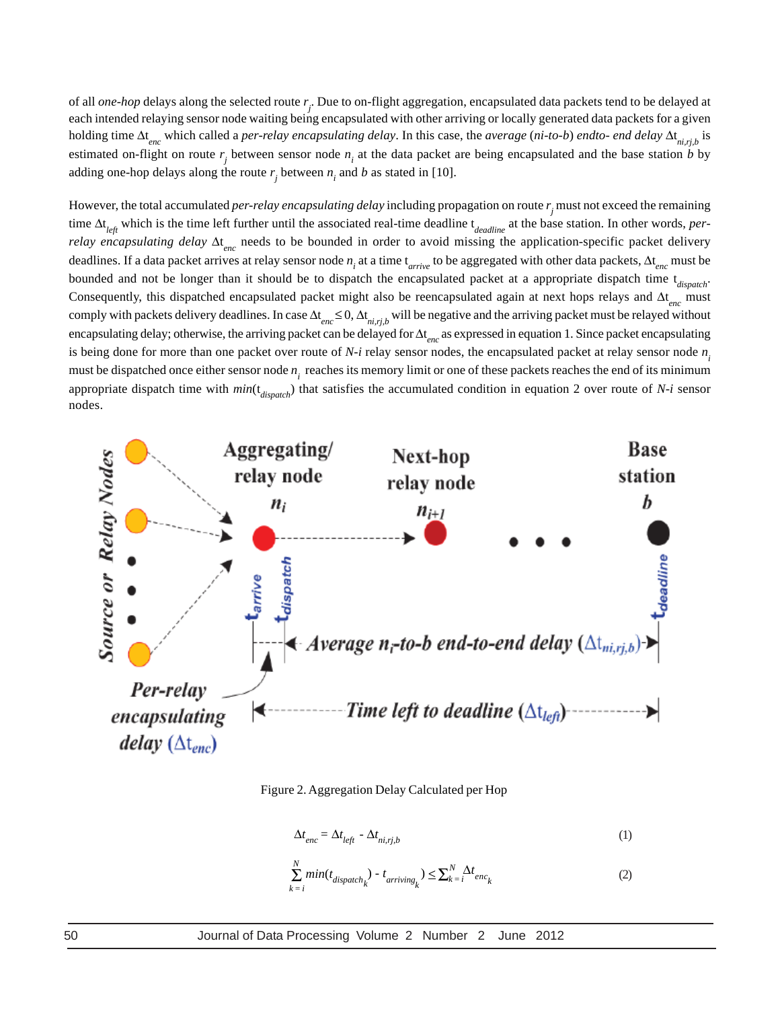of all *one-hop* delays along the selected route *rj* . Due to on-flight aggregation, encapsulated data packets tend to be delayed at each intended relaying sensor node waiting being encapsulated with other arriving or locally generated data packets for a given holding time ∆t *enc* which called a *per-relay encapsulating delay*. In this case, the *average* (*ni-to-b*) *endto- end delay* ∆t *ni,rj,b* is estimated on-flight on route  $r_j$  between sensor node  $n_i$  at the data packet are being encapsulated and the base station *b* by adding one-hop delays along the route  $r_j$  between  $n_i$  and *b* as stated in [10].

However, the total accumulated *per-relay encapsulating delay* including propagation on route *r j* must not exceed the remaining time ∆t *left* which is the time left further until the associated real-time deadline t*deadline* at the base station. In other words, *perrelay encapsulating delay*  $\Delta t_{enc}$  needs to be bounded in order to avoid missing the application-specific packet delivery deadlines. If a data packet arrives at relay sensor node *ni* at a time t*arrive* to be aggregated with other data packets, ∆t *enc* must be bounded and not be longer than it should be to dispatch the encapsulated packet at a appropriate dispatch time t*dispatch*. Consequently, this dispatched encapsulated packet might also be reencapsulated again at next hops relays and ∆t *enc* must comply with packets delivery deadlines. In case ∆t *enc* ≤ 0, ∆t *ni,rj,b* will be negative and the arriving packet must be relayed without encapsulating delay; otherwise, the arriving packet can be delayed for ∆t *enc* as expressed in equation 1. Since packet encapsulating is being done for more than one packet over route of *N-i* relay sensor nodes, the encapsulated packet at relay sensor node *ni* must be dispatched once either sensor node  $n_i$  reaches its memory limit or one of these packets reaches the end of its minimum appropriate dispatch time with *min*(t*dispatch*) that satisfies the accumulated condition in equation 2 over route of *N-i* sensor nodes.



Figure 2. Aggregation Delay Calculated per Hop

$$
\Delta t_{enc} = \Delta t_{left} - \Delta t_{ni, rj, b} \tag{1}
$$

$$
\sum_{k=i}^{N} \min(t_{dispatch_k}) - t_{arriving_k}) \le \sum_{k=i}^{N} \Delta t_{enc_k}
$$
\n(2)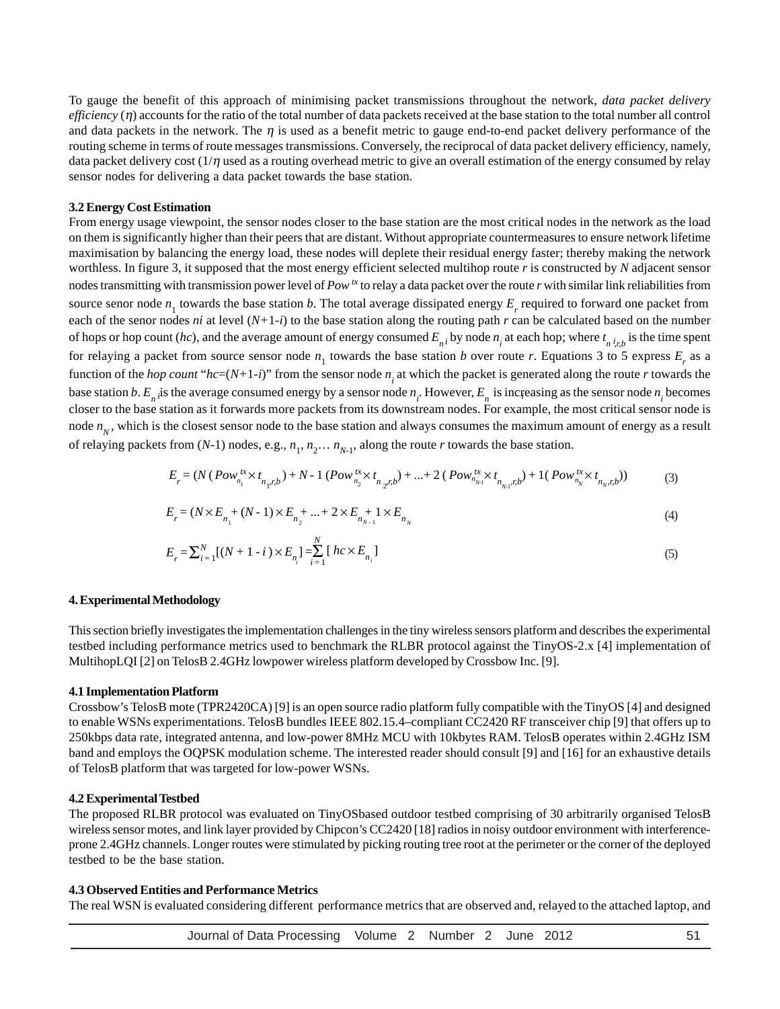To gauge the benefit of this approach of minimising packet transmissions throughout the network, *data packet delivery efficiency*  $(\eta)$  accounts for the ratio of the total number of data packets received at the base station to the total number all control and data packets in the network. The  $\eta$  is used as a benefit metric to gauge end-to-end packet delivery performance of the routing scheme in terms of route messages transmissions. Conversely, the reciprocal of data packet delivery efficiency, namely, data packet delivery cost  $(1/\eta)$  used as a routing overhead metric to give an overall estimation of the energy consumed by relay sensor nodes for delivering a data packet towards the base station.

#### **3.2 Energy Cost Estimation**

From energy usage viewpoint, the sensor nodes closer to the base station are the most critical nodes in the network as the load on them is significantly higher than their peers that are distant. Without appropriate countermeasures to ensure network lifetime maximisation by balancing the energy load, these nodes will deplete their residual energy faster; thereby making the network worthless. In figure 3, it supposed that the most energy efficient selected multihop route *r* is constructed by *N* adjacent sensor nodes transmitting with transmission power level of *Pow tx* to relay a data packet over the route *r* with similar link reliabilities from source senor node  $n_1$  towards the base station *b*. The total average dissipated energy  $E_r$  required to forward one packet from each of the senor nodes *ni* at level  $(N+1-i)$  to the base station along the routing path *r* can be calculated based on the number of hops or hop count (*hc*), and the average amount of energy consumed  $E_{ni}$  by node  $n_i$  at each hop; where  $t_{ni}$ , *i*, *b* is the time spent for relaying a packet from source sensor node  $n_1$  towards the base station *b* over route *r*. Equations 3 to 5 express  $E_r$  as a function of the *hop count* " $hc=(N+1-i)$ " from the sensor node  $n_i$  at which the packet is generated along the route *r* towards the base station *b*.  $E_n$  is the average consumed energy by a sensor node  $n_i$ . However,  $E_n$  is increasing as the sensor node  $n_i$  becomes closer to the base station as it forwards more packets from its downstream nodes. For example, the most critical sensor node is node  $n<sub>N</sub>$ , which is the closest sensor node to the base station and always consumes the maximum amount of energy as a result of relaying packets from  $(N-1)$  nodes, e.g.,  $n_1, n_2... n_{N-1}$ , along the route *r* towards the base station.

$$
E_r = (N(Pow_{n_1}^{tx} \times t_{n_r,b}) + N - 1 (Pow_{n_2}^{tx} \times t_{n_r,b}) + ... + 2 (Pow_{n_{N-1}}^{tx} \times t_{n_{N-1},b}) + 1 (Pow_{n_N}^{tx} \times t_{n_N,b}))
$$
(3)

$$
E_r = (N \times E_{n_1} + (N - 1) \times E_{n_2} + \dots + 2 \times E_{n_{N-1}} + N \times E_{n_N}
$$
\n<sup>(4)</sup>

$$
E_r = \sum_{i=1}^{N} [(N+1-i) \times E_{n_i}] = \sum_{i=1}^{N} [hc \times E_{n_i}]
$$
\n(5)

#### **4. Experimental Methodology**

This section briefly investigates the implementation challenges in the tiny wireless sensors platform and describes the experimental testbed including performance metrics used to benchmark the RLBR protocol against the TinyOS-2.x [4] implementation of MultihopLQI [2] on TelosB 2.4GHz lowpower wireless platform developed by Crossbow Inc. [9].

#### **4.1 Implementation Platform**

Crossbow's TelosB mote (TPR2420CA) [9] is an open source radio platform fully compatible with the TinyOS [4] and designed to enable WSNs experimentations. TelosB bundles IEEE 802.15.4–compliant CC2420 RF transceiver chip [9] that offers up to 250kbps data rate, integrated antenna, and low-power 8MHz MCU with 10kbytes RAM. TelosB operates within 2.4GHz ISM band and employs the OQPSK modulation scheme. The interested reader should consult [9] and [16] for an exhaustive details of TelosB platform that was targeted for low-power WSNs.

#### **4.2 Experimental Testbed**

The proposed RLBR protocol was evaluated on TinyOSbased outdoor testbed comprising of 30 arbitrarily organised TelosB wireless sensor motes, and link layer provided by Chipcon's CC2420 [18] radios in noisy outdoor environment with interferenceprone 2.4GHz channels. Longer routes were stimulated by picking routing tree root at the perimeter or the corner of the deployed testbed to be the base station.

#### **4.3 Observed Entities and Performance Metrics**

The real WSN is evaluated considering different performance metrics that are observed and, relayed to the attached laptop, and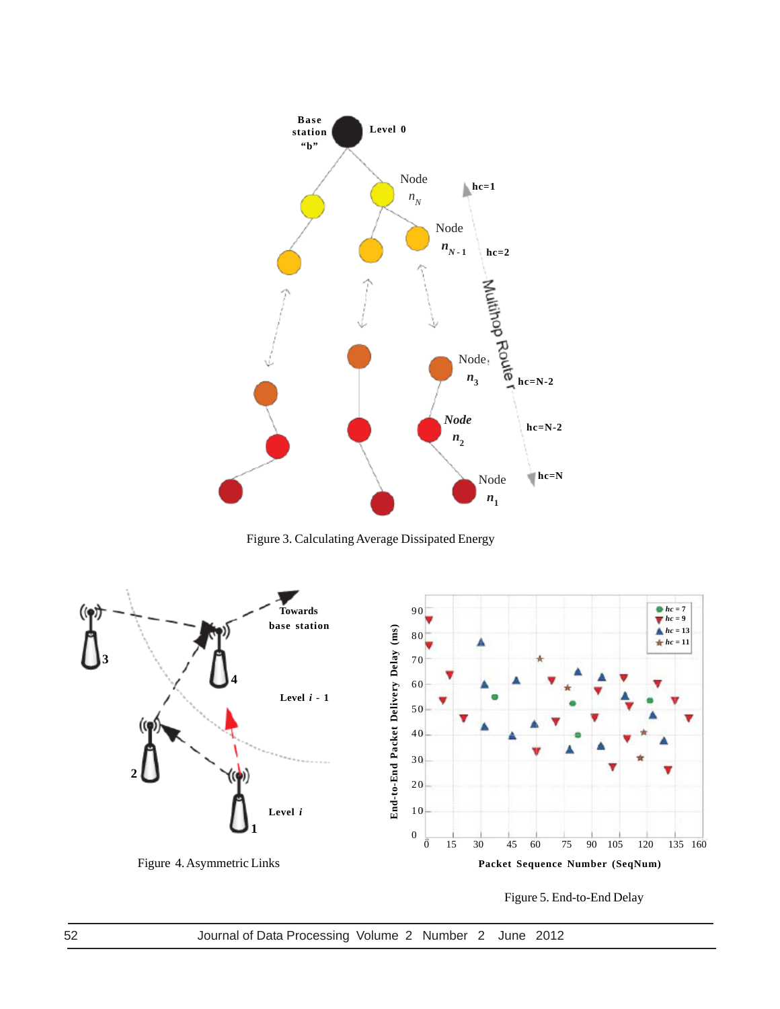

Figure 3. Calculating Average Dissipated Energy



Figure 5. End-to-End Delay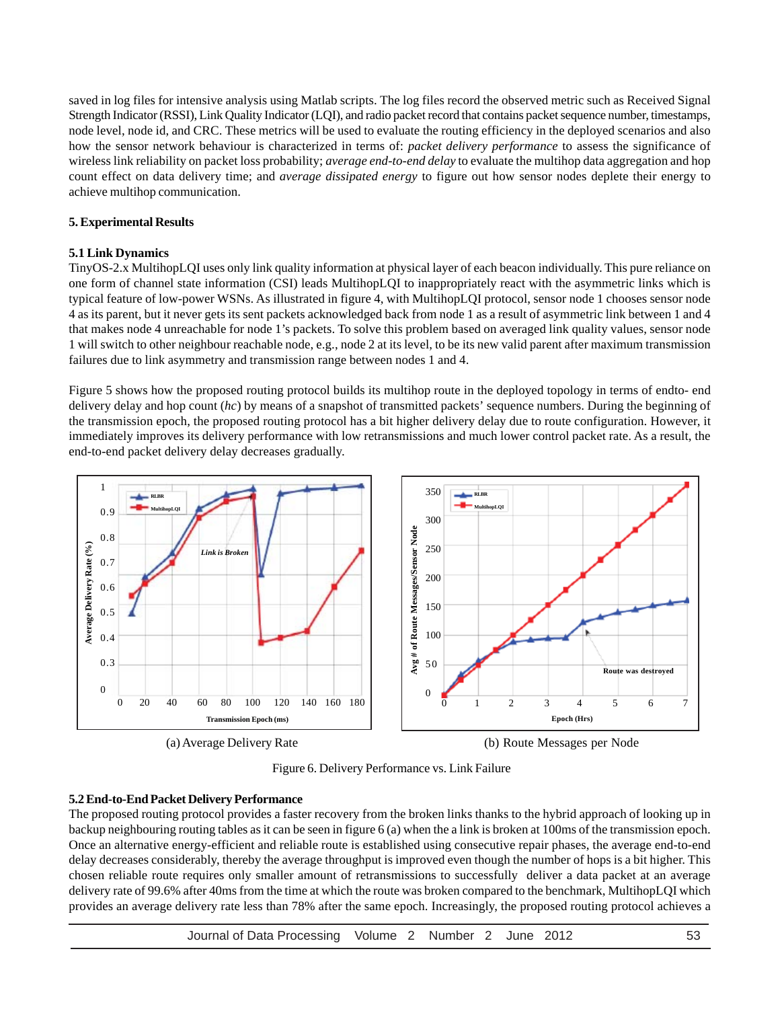saved in log files for intensive analysis using Matlab scripts. The log files record the observed metric such as Received Signal Strength Indicator (RSSI), Link Quality Indicator (LQI), and radio packet record that contains packet sequence number, timestamps, node level, node id, and CRC. These metrics will be used to evaluate the routing efficiency in the deployed scenarios and also how the sensor network behaviour is characterized in terms of: *packet delivery performance* to assess the significance of wireless link reliability on packet loss probability; *average end-to-end delay* to evaluate the multihop data aggregation and hop count effect on data delivery time; and *average dissipated energy* to figure out how sensor nodes deplete their energy to achieve multihop communication.

## **5. Experimental Results**

# **5.1 Link Dynamics**

TinyOS-2.x MultihopLQI uses only link quality information at physical layer of each beacon individually. This pure reliance on one form of channel state information (CSI) leads MultihopLQI to inappropriately react with the asymmetric links which is typical feature of low-power WSNs. As illustrated in figure 4, with MultihopLQI protocol, sensor node 1 chooses sensor node 4 as its parent, but it never gets its sent packets acknowledged back from node 1 as a result of asymmetric link between 1 and 4 that makes node 4 unreachable for node 1's packets. To solve this problem based on averaged link quality values, sensor node 1 will switch to other neighbour reachable node, e.g., node 2 at its level, to be its new valid parent after maximum transmission failures due to link asymmetry and transmission range between nodes 1 and 4.

Figure 5 shows how the proposed routing protocol builds its multihop route in the deployed topology in terms of endto- end delivery delay and hop count (*hc*) by means of a snapshot of transmitted packets' sequence numbers. During the beginning of the transmission epoch, the proposed routing protocol has a bit higher delivery delay due to route configuration. However, it immediately improves its delivery performance with low retransmissions and much lower control packet rate. As a result, the end-to-end packet delivery delay decreases gradually.



Figure 6. Delivery Performance vs. Link Failure

### **5.2 End-to-End Packet Delivery Performance**

The proposed routing protocol provides a faster recovery from the broken links thanks to the hybrid approach of looking up in backup neighbouring routing tables as it can be seen in figure 6 (a) when the a link is broken at 100ms of the transmission epoch. Once an alternative energy-efficient and reliable route is established using consecutive repair phases, the average end-to-end delay decreases considerably, thereby the average throughput is improved even though the number of hops is a bit higher. This chosen reliable route requires only smaller amount of retransmissions to successfully deliver a data packet at an average delivery rate of 99.6% after 40ms from the time at which the route was broken compared to the benchmark, MultihopLQI which provides an average delivery rate less than 78% after the same epoch. Increasingly, the proposed routing protocol achieves a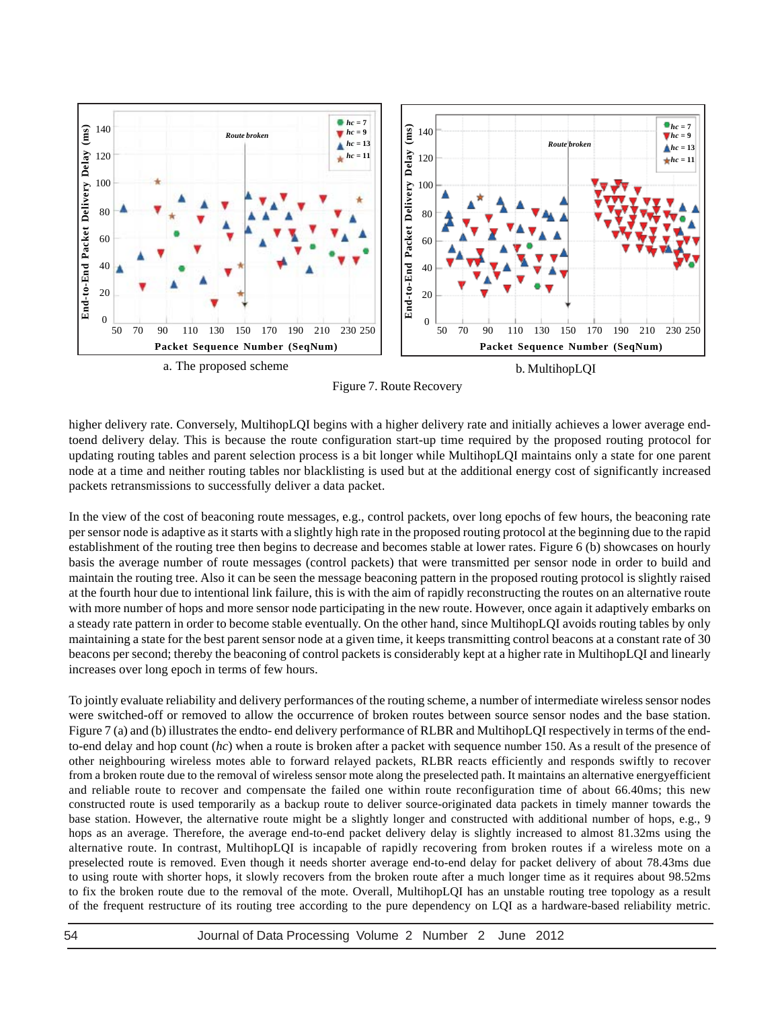

Figure 7. Route Recovery

higher delivery rate. Conversely, MultihopLQI begins with a higher delivery rate and initially achieves a lower average endtoend delivery delay. This is because the route configuration start-up time required by the proposed routing protocol for updating routing tables and parent selection process is a bit longer while MultihopLQI maintains only a state for one parent node at a time and neither routing tables nor blacklisting is used but at the additional energy cost of significantly increased packets retransmissions to successfully deliver a data packet.

In the view of the cost of beaconing route messages, e.g., control packets, over long epochs of few hours, the beaconing rate per sensor node is adaptive as it starts with a slightly high rate in the proposed routing protocol at the beginning due to the rapid establishment of the routing tree then begins to decrease and becomes stable at lower rates. Figure 6 (b) showcases on hourly basis the average number of route messages (control packets) that were transmitted per sensor node in order to build and maintain the routing tree. Also it can be seen the message beaconing pattern in the proposed routing protocol is slightly raised at the fourth hour due to intentional link failure, this is with the aim of rapidly reconstructing the routes on an alternative route with more number of hops and more sensor node participating in the new route. However, once again it adaptively embarks on a steady rate pattern in order to become stable eventually. On the other hand, since MultihopLQI avoids routing tables by only maintaining a state for the best parent sensor node at a given time, it keeps transmitting control beacons at a constant rate of 30 beacons per second; thereby the beaconing of control packets is considerably kept at a higher rate in MultihopLQI and linearly increases over long epoch in terms of few hours.

To jointly evaluate reliability and delivery performances of the routing scheme, a number of intermediate wireless sensor nodes were switched-off or removed to allow the occurrence of broken routes between source sensor nodes and the base station. Figure 7 (a) and (b) illustrates the endto- end delivery performance of RLBR and MultihopLQI respectively in terms of the endto-end delay and hop count (*hc*) when a route is broken after a packet with sequence number 150. As a result of the presence of other neighbouring wireless motes able to forward relayed packets, RLBR reacts efficiently and responds swiftly to recover from a broken route due to the removal of wireless sensor mote along the preselected path. It maintains an alternative energyefficient and reliable route to recover and compensate the failed one within route reconfiguration time of about 66.40ms; this new constructed route is used temporarily as a backup route to deliver source-originated data packets in timely manner towards the base station. However, the alternative route might be a slightly longer and constructed with additional number of hops, e.g., 9 hops as an average. Therefore, the average end-to-end packet delivery delay is slightly increased to almost 81.32ms using the alternative route. In contrast, MultihopLQI is incapable of rapidly recovering from broken routes if a wireless mote on a preselected route is removed. Even though it needs shorter average end-to-end delay for packet delivery of about 78.43ms due to using route with shorter hops, it slowly recovers from the broken route after a much longer time as it requires about 98.52ms to fix the broken route due to the removal of the mote. Overall, MultihopLQI has an unstable routing tree topology as a result of the frequent restructure of its routing tree according to the pure dependency on LQI as a hardware-based reliability metric.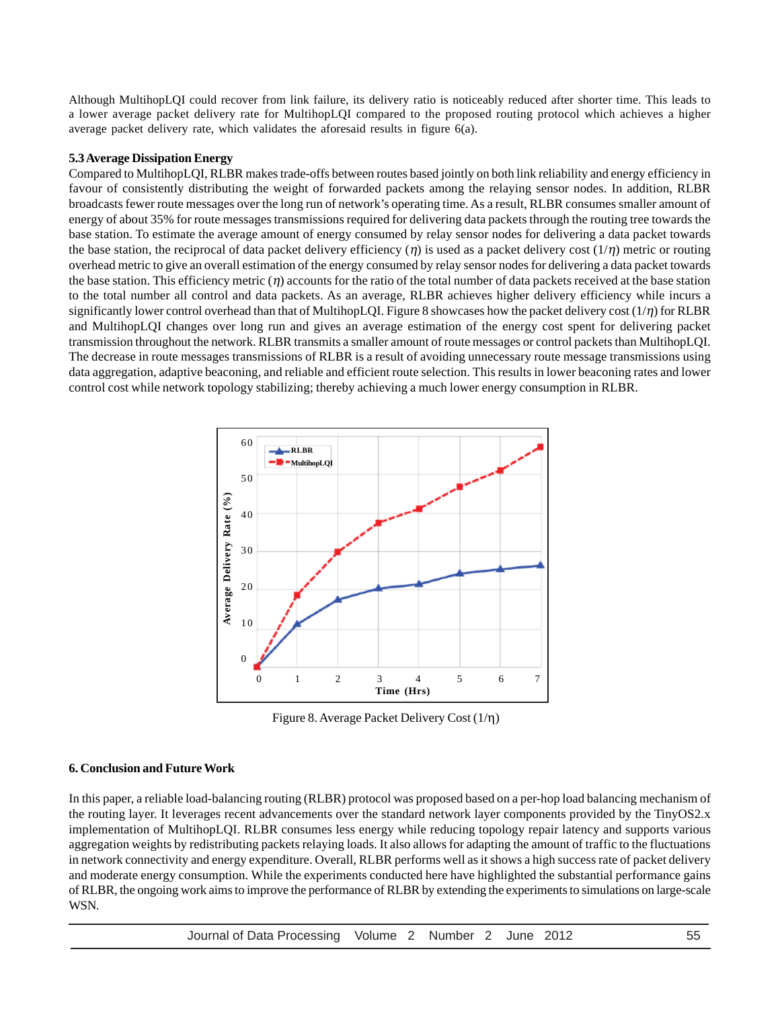Although MultihopLQI could recover from link failure, its delivery ratio is noticeably reduced after shorter time. This leads to a lower average packet delivery rate for MultihopLQI compared to the proposed routing protocol which achieves a higher average packet delivery rate, which validates the aforesaid results in figure 6(a).

# **5.3 Average Dissipation Energy**

Compared to MultihopLQI, RLBR makes trade-offs between routes based jointly on both link reliability and energy efficiency in favour of consistently distributing the weight of forwarded packets among the relaying sensor nodes. In addition, RLBR broadcasts fewer route messages over the long run of network's operating time. As a result, RLBR consumes smaller amount of energy of about 35% for route messages transmissions required for delivering data packets through the routing tree towards the base station. To estimate the average amount of energy consumed by relay sensor nodes for delivering a data packet towards the base station, the reciprocal of data packet delivery efficiency  $(\eta)$  is used as a packet delivery cost  $(1/\eta)$  metric or routing overhead metric to give an overall estimation of the energy consumed by relay sensor nodes for delivering a data packet towards the base station. This efficiency metric  $(\eta)$  accounts for the ratio of the total number of data packets received at the base station to the total number all control and data packets. As an average, RLBR achieves higher delivery efficiency while incurs a significantly lower control overhead than that of MultihopLQI. Figure 8 showcases how the packet delivery cost  $(1/\eta)$  for RLBR and MultihopLQI changes over long run and gives an average estimation of the energy cost spent for delivering packet transmission throughout the network. RLBR transmits a smaller amount of route messages or control packets than MultihopLQI. The decrease in route messages transmissions of RLBR is a result of avoiding unnecessary route message transmissions using data aggregation, adaptive beaconing, and reliable and efficient route selection. This results in lower beaconing rates and lower control cost while network topology stabilizing; thereby achieving a much lower energy consumption in RLBR.



Figure 8. Average Packet Delivery Cost (1/η)

### **6. Conclusion and Future Work**

In this paper, a reliable load-balancing routing (RLBR) protocol was proposed based on a per-hop load balancing mechanism of the routing layer. It leverages recent advancements over the standard network layer components provided by the TinyOS2.x implementation of MultihopLQI. RLBR consumes less energy while reducing topology repair latency and supports various aggregation weights by redistributing packets relaying loads. It also allows for adapting the amount of traffic to the fluctuations in network connectivity and energy expenditure. Overall, RLBR performs well as it shows a high success rate of packet delivery and moderate energy consumption. While the experiments conducted here have highlighted the substantial performance gains of RLBR, the ongoing work aims to improve the performance of RLBR by extending the experiments to simulations on large-scale WSN.